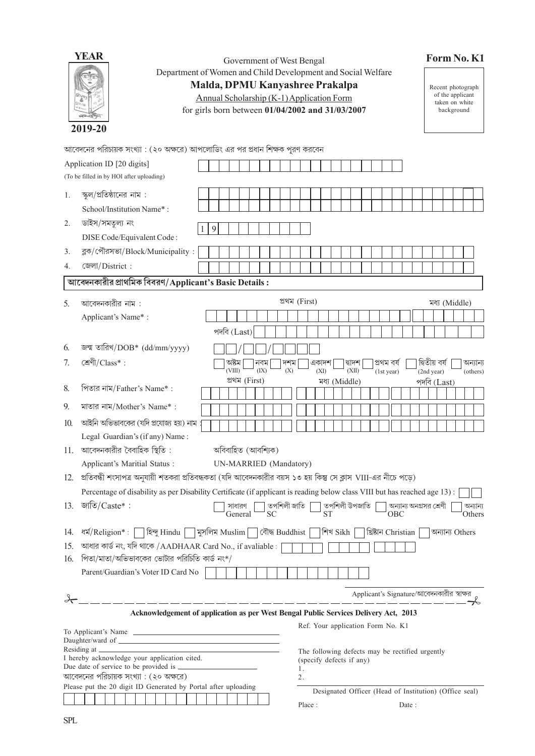| YEAR        |
|-------------|
|             |
| 2019<br>-20 |

Government of West Bengal Department of Women and Child Development and Social Welfare

# Form No. K1

Malda, DPMU Kanyashree Prakalpa

Annual Scholarship (K-1) Application Form

for girls born between 01/04/2002 and 31/03/2007

Recent photograph<br>of the applicant<br>taken on white<br>background

আবেদনের পরিচায়ক সংখ্যা : (২০ অক্ষরে) আপলোডিং এর পর প্রধান শিক্ষক পূরণ করবেন

|                                                                                                                                                                                                                                                                                   | Application ID [20 digits]<br>(To be filled in by HOI after uploading)                                                    |                                |                |               |                                                        |                                           |                         |                             |                 |  |                      |  |
|-----------------------------------------------------------------------------------------------------------------------------------------------------------------------------------------------------------------------------------------------------------------------------------|---------------------------------------------------------------------------------------------------------------------------|--------------------------------|----------------|---------------|--------------------------------------------------------|-------------------------------------------|-------------------------|-----------------------------|-----------------|--|----------------------|--|
| 1.                                                                                                                                                                                                                                                                                | স্কুল/প্রতিষ্ঠানের নাম :<br>School/Institution Name*:                                                                     |                                |                |               |                                                        |                                           |                         |                             |                 |  |                      |  |
| 2.                                                                                                                                                                                                                                                                                | ডাইস/সমতুল্য নং<br>DISE Code/Equivalent Code:                                                                             | 9                              |                |               |                                                        |                                           |                         |                             |                 |  |                      |  |
| 3.                                                                                                                                                                                                                                                                                | ব্লক/পৌরসভা/Block/Municipality:<br>জেলা/District:                                                                         |                                |                |               |                                                        |                                           |                         |                             |                 |  |                      |  |
|                                                                                                                                                                                                                                                                                   | 4.                                                                                                                        |                                |                |               |                                                        |                                           |                         |                             |                 |  |                      |  |
| আবেদনকারীর প্রাথমিক বিবরণ/Applicant's Basic Details :                                                                                                                                                                                                                             |                                                                                                                           |                                |                |               |                                                        |                                           |                         |                             |                 |  |                      |  |
| 5.                                                                                                                                                                                                                                                                                | আবেদনকারীর নাম :                                                                                                          |                                | প্ৰথম (First)  |               |                                                        |                                           |                         |                             | মধ্য (Middle)   |  |                      |  |
|                                                                                                                                                                                                                                                                                   | Applicant's Name*:                                                                                                        |                                |                |               |                                                        |                                           |                         |                             |                 |  |                      |  |
|                                                                                                                                                                                                                                                                                   |                                                                                                                           | পদবি $(Last)$                  |                |               |                                                        |                                           |                         |                             |                 |  |                      |  |
| 6.                                                                                                                                                                                                                                                                                | জন্ম তারিখ/DOB* (dd/mm/yyyy)                                                                                              |                                |                |               |                                                        |                                           |                         |                             |                 |  |                      |  |
| 7.                                                                                                                                                                                                                                                                                | শ্ৰেণী/Class*:                                                                                                            | অষ্টম<br>নবম<br>(VIII)<br>(IX) | দশম<br>(X)     | একাদশ<br>(XI) | দ্বাদশ<br>(XII)                                        | প্ৰথম বৰ্ষ<br>(1st year)                  |                         | দ্বিতীয় বৰ্ষ<br>(2nd year) |                 |  | অন্যান্য<br>(others) |  |
| 8.                                                                                                                                                                                                                                                                                | পিতার নাম/Father's Name*:                                                                                                 | প্ৰথম (First)                  |                |               | মধ্য (Middle)                                          |                                           |                         | পদবি $(Last)$               |                 |  |                      |  |
| 9.                                                                                                                                                                                                                                                                                | মাতার নাম/Mother's Name*:                                                                                                 |                                |                |               |                                                        |                                           |                         |                             |                 |  |                      |  |
| 10.                                                                                                                                                                                                                                                                               | আইনি অভিভাবকের (যদি প্রযোজ্য হয়) নাম                                                                                     |                                |                |               |                                                        |                                           |                         |                             |                 |  |                      |  |
|                                                                                                                                                                                                                                                                                   | Legal Guardian's (if any) Name:                                                                                           |                                |                |               |                                                        |                                           |                         |                             |                 |  |                      |  |
| 11.                                                                                                                                                                                                                                                                               | আবেদনকারীর বৈবাহিক স্থিতি :                                                                                               | অবিবাহিত (আবশ্যিক)             |                |               |                                                        |                                           |                         |                             |                 |  |                      |  |
|                                                                                                                                                                                                                                                                                   | Applicant's Maritial Status :                                                                                             | UN-MARRIED (Mandatory)         |                |               |                                                        |                                           |                         |                             |                 |  |                      |  |
|                                                                                                                                                                                                                                                                                   | 12.   প্রতিবন্ধী শংসাপত্র অনুযায়ী শতকরা প্রতিবন্ধকতা (যদি আবেদনকারীর বয়স ১৩ হয় কিন্তু সে ক্লাস VIII-এর নীচে পড়ে)      |                                |                |               |                                                        |                                           |                         |                             |                 |  |                      |  |
|                                                                                                                                                                                                                                                                                   | Percentage of disability as per Disability Certificate (if applicant is reading below class VIII but has reached age 13): |                                |                |               |                                                        |                                           |                         |                             |                 |  |                      |  |
| 13.                                                                                                                                                                                                                                                                               | জাতি/ $\text{Cast}$ :                                                                                                     | সাধারণ<br><b>SC</b><br>General | তপশিলী জাতি    | <b>ST</b>     | তপশিলী উপজাতি                                          | OBC                                       | অন্যান্য অনগ্রসর শ্রেণী |                             |                 |  | অন্যান্য<br>Others   |  |
| 14.                                                                                                                                                                                                                                                                               | ধর্ম/Religion*: $\lceil$<br> হিন্দু Hindu                                                                                 | মুসলিম Muslim                  | বৌদ্ধ Buddhist | শিখ Sikh      |                                                        | খ্রিষ্টান Christian                       |                         |                             | অন্যান্য Others |  |                      |  |
| 15.                                                                                                                                                                                                                                                                               | আধার কার্ড নং, যদি থাকে /AADHAAR Card No., if avaliable :                                                                 |                                |                |               |                                                        |                                           |                         |                             |                 |  |                      |  |
| 16.                                                                                                                                                                                                                                                                               | পিতা/মাতা/অভিভাবকের ভোটার পরিচিতি কার্ড নং $^*/$                                                                          |                                |                |               |                                                        |                                           |                         |                             |                 |  |                      |  |
|                                                                                                                                                                                                                                                                                   | Parent/Guardian's Voter ID Card No                                                                                        |                                |                |               |                                                        |                                           |                         |                             |                 |  |                      |  |
|                                                                                                                                                                                                                                                                                   |                                                                                                                           |                                |                |               |                                                        | Applicant's Signature/আবেদনকারীর স্বাক্ষর |                         |                             |                 |  |                      |  |
| _________________<br>Acknowledgement of application as per West Bengal Public Services Delivery Act, 2013                                                                                                                                                                         |                                                                                                                           |                                |                |               |                                                        |                                           |                         |                             |                 |  |                      |  |
| Ref. Your application Form No. K1                                                                                                                                                                                                                                                 |                                                                                                                           |                                |                |               |                                                        |                                           |                         |                             |                 |  |                      |  |
|                                                                                                                                                                                                                                                                                   | To Applicant's Name                                                                                                       |                                |                |               |                                                        |                                           |                         |                             |                 |  |                      |  |
| Residing at the state of the state of the state of the state of the state of the state of the state of the state of the state of the state of the state of the state of the state of the state of the state of the state of th<br>The following defects may be rectified urgently |                                                                                                                           |                                |                |               |                                                        |                                           |                         |                             |                 |  |                      |  |
| I hereby acknowledge your application cited.<br>(specify defects if any)<br>1.                                                                                                                                                                                                    |                                                                                                                           |                                |                |               |                                                        |                                           |                         |                             |                 |  |                      |  |
|                                                                                                                                                                                                                                                                                   | আবেদনের পরিচায়ক সংখ্যা : (২০ অক্ষরে)<br>2.                                                                               |                                |                |               |                                                        |                                           |                         |                             |                 |  |                      |  |
|                                                                                                                                                                                                                                                                                   | Please put the 20 digit ID Generated by Portal after uploading                                                            |                                |                |               | Designated Officer (Head of Institution) (Office seal) |                                           |                         |                             |                 |  |                      |  |
|                                                                                                                                                                                                                                                                                   |                                                                                                                           |                                |                | Place:        |                                                        |                                           | Date:                   |                             |                 |  |                      |  |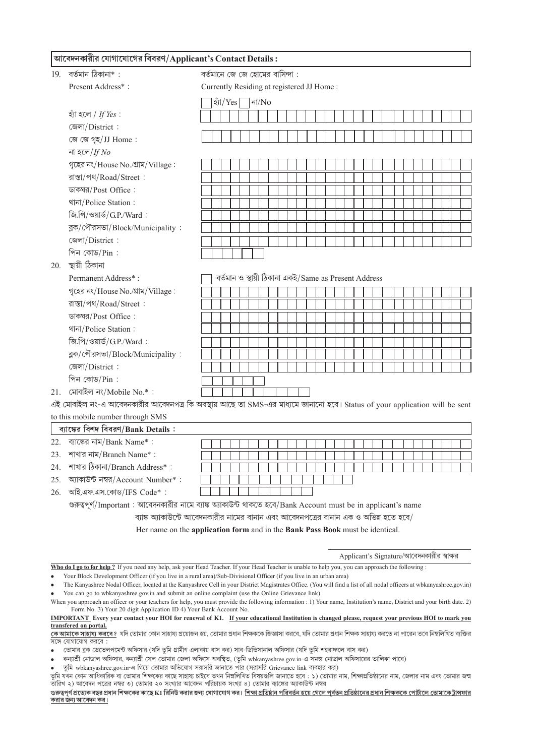# আবেদনকারীর যোগাযোগের বিবরণ/Applicant's Contact Details:

| 19. | বৰ্তমান ঠিকানা* :                                                                                                         | বর্তমানে জে জে হোমের বাসিন্দা :           |  |           |  |  |  |                                                      |  |  |  |  |  |  |  |  |  |  |  |  |  |  |  |  |  |
|-----|---------------------------------------------------------------------------------------------------------------------------|-------------------------------------------|--|-----------|--|--|--|------------------------------------------------------|--|--|--|--|--|--|--|--|--|--|--|--|--|--|--|--|--|
|     | Present Address*:                                                                                                         | Currently Residing at registered JJ Home: |  |           |  |  |  |                                                      |  |  |  |  |  |  |  |  |  |  |  |  |  |  |  |  |  |
|     |                                                                                                                           |                                           |  | হ্যাঁ/Yes |  |  |  | না/ $No$                                             |  |  |  |  |  |  |  |  |  |  |  |  |  |  |  |  |  |
|     | হ্যাঁ হলে / If Yes:                                                                                                       |                                           |  |           |  |  |  |                                                      |  |  |  |  |  |  |  |  |  |  |  |  |  |  |  |  |  |
|     | জেলা/District:                                                                                                            |                                           |  |           |  |  |  |                                                      |  |  |  |  |  |  |  |  |  |  |  |  |  |  |  |  |  |
|     | জে জে গৃহ/JJ Home:                                                                                                        |                                           |  |           |  |  |  |                                                      |  |  |  |  |  |  |  |  |  |  |  |  |  |  |  |  |  |
|     | না হলে/If $No$                                                                                                            |                                           |  |           |  |  |  |                                                      |  |  |  |  |  |  |  |  |  |  |  |  |  |  |  |  |  |
|     | গৃহের নং/House No./গ্রাম/Village:                                                                                         |                                           |  |           |  |  |  |                                                      |  |  |  |  |  |  |  |  |  |  |  |  |  |  |  |  |  |
|     | রাস্তা/পথ/Road/Street:                                                                                                    |                                           |  |           |  |  |  |                                                      |  |  |  |  |  |  |  |  |  |  |  |  |  |  |  |  |  |
|     | ডাকঘর/Post Office:                                                                                                        |                                           |  |           |  |  |  |                                                      |  |  |  |  |  |  |  |  |  |  |  |  |  |  |  |  |  |
|     | থানা/Police Station:                                                                                                      |                                           |  |           |  |  |  |                                                      |  |  |  |  |  |  |  |  |  |  |  |  |  |  |  |  |  |
|     | জি.পি/ওয়ার্ড/G.P./Ward:                                                                                                  |                                           |  |           |  |  |  |                                                      |  |  |  |  |  |  |  |  |  |  |  |  |  |  |  |  |  |
|     | ব্লক/পৌরসভা/Block/Municipality:                                                                                           |                                           |  |           |  |  |  |                                                      |  |  |  |  |  |  |  |  |  |  |  |  |  |  |  |  |  |
|     | জেলা/District:                                                                                                            |                                           |  |           |  |  |  |                                                      |  |  |  |  |  |  |  |  |  |  |  |  |  |  |  |  |  |
|     | পিন কোড/Pin:                                                                                                              |                                           |  |           |  |  |  |                                                      |  |  |  |  |  |  |  |  |  |  |  |  |  |  |  |  |  |
| 20. | স্থায়ী ঠিকানা                                                                                                            |                                           |  |           |  |  |  |                                                      |  |  |  |  |  |  |  |  |  |  |  |  |  |  |  |  |  |
|     | Permanent Address*:                                                                                                       |                                           |  |           |  |  |  | বৰ্তমান ও স্থায়ী ঠিকানা একই/Same as Present Address |  |  |  |  |  |  |  |  |  |  |  |  |  |  |  |  |  |
|     | গৃহের নং/House No./গ্রাম/Village:                                                                                         |                                           |  |           |  |  |  |                                                      |  |  |  |  |  |  |  |  |  |  |  |  |  |  |  |  |  |
|     | রাস্তা/পথ/Road/Street:                                                                                                    |                                           |  |           |  |  |  |                                                      |  |  |  |  |  |  |  |  |  |  |  |  |  |  |  |  |  |
|     | ডাকঘর/Post Office:                                                                                                        |                                           |  |           |  |  |  |                                                      |  |  |  |  |  |  |  |  |  |  |  |  |  |  |  |  |  |
|     | থানা/Police Station:                                                                                                      |                                           |  |           |  |  |  |                                                      |  |  |  |  |  |  |  |  |  |  |  |  |  |  |  |  |  |
|     | জি.পি/ওয়ার্ড/ $G.P./Ward$ :                                                                                              |                                           |  |           |  |  |  |                                                      |  |  |  |  |  |  |  |  |  |  |  |  |  |  |  |  |  |
|     | ব্লক/পৌরসভা/Block/Municipality:                                                                                           |                                           |  |           |  |  |  |                                                      |  |  |  |  |  |  |  |  |  |  |  |  |  |  |  |  |  |
|     | জেলা/District:                                                                                                            |                                           |  |           |  |  |  |                                                      |  |  |  |  |  |  |  |  |  |  |  |  |  |  |  |  |  |
|     | পিন কোড/Pin:                                                                                                              |                                           |  |           |  |  |  |                                                      |  |  |  |  |  |  |  |  |  |  |  |  |  |  |  |  |  |
| 21. | মোবাইল নং/Mobile No. $*$ :                                                                                                |                                           |  |           |  |  |  |                                                      |  |  |  |  |  |  |  |  |  |  |  |  |  |  |  |  |  |
|     | এই মোবাইল নং-এ আবেদনকারীর আবেদনপত্র কি অবস্থায় আছে তা SMS-এর মাধ্যমে জানানো হবে। Status of your application will be sent |                                           |  |           |  |  |  |                                                      |  |  |  |  |  |  |  |  |  |  |  |  |  |  |  |  |  |
|     | to this mobile number through SMS                                                                                         |                                           |  |           |  |  |  |                                                      |  |  |  |  |  |  |  |  |  |  |  |  |  |  |  |  |  |
|     | ব্যাঙ্কের বিশদ বিবরণ/Bank Details:                                                                                        |                                           |  |           |  |  |  |                                                      |  |  |  |  |  |  |  |  |  |  |  |  |  |  |  |  |  |
|     | 22. ব্যাঙ্কের নাম/Bank Name*:                                                                                             |                                           |  |           |  |  |  |                                                      |  |  |  |  |  |  |  |  |  |  |  |  |  |  |  |  |  |
|     | 23. শাখার নাম/Branch Name*:                                                                                               |                                           |  |           |  |  |  |                                                      |  |  |  |  |  |  |  |  |  |  |  |  |  |  |  |  |  |
|     | 24. শাখার ঠিকানা/Branch Address*:                                                                                         |                                           |  |           |  |  |  |                                                      |  |  |  |  |  |  |  |  |  |  |  |  |  |  |  |  |  |
| 25. | অ্যাকাউন্ট নম্বর/Account Number*:                                                                                         |                                           |  |           |  |  |  |                                                      |  |  |  |  |  |  |  |  |  |  |  |  |  |  |  |  |  |
| 26. | আই.এফ.এস.কোড/IFS Code*:                                                                                                   |                                           |  |           |  |  |  |                                                      |  |  |  |  |  |  |  |  |  |  |  |  |  |  |  |  |  |
|     | গুরুত্বপূর্ণ/Important: আবেদনকারীর নামে ব্যাঙ্ক অ্যাকাউন্ট থাকতে হবে/Bank Account must be in applicant's name             |                                           |  |           |  |  |  |                                                      |  |  |  |  |  |  |  |  |  |  |  |  |  |  |  |  |  |
|     | ব্যাঙ্ক অ্যাকাউন্টে আবেদনকারীর নামের বানান এবং আবেদনপত্রের বানান এক ও অভিন্ন হতে হবে/                                     |                                           |  |           |  |  |  |                                                      |  |  |  |  |  |  |  |  |  |  |  |  |  |  |  |  |  |
|     | Her name on the application form and in the Bank Pass Book must be identical.                                             |                                           |  |           |  |  |  |                                                      |  |  |  |  |  |  |  |  |  |  |  |  |  |  |  |  |  |
|     |                                                                                                                           |                                           |  |           |  |  |  |                                                      |  |  |  |  |  |  |  |  |  |  |  |  |  |  |  |  |  |
|     |                                                                                                                           |                                           |  |           |  |  |  |                                                      |  |  |  |  |  |  |  |  |  |  |  |  |  |  |  |  |  |

Applicant's Signature/আবেদনকারীর স্বাক্ষর

Who do I go to for help ? If you need any help, ask your Head Teacher. If your Head Teacher is unable to help you, you can approach the following:

Your Block Development Officer (if you live in a rural area)/Sub-Divisional Officer (if you live in an urban area)

The Kanyashree Nodal Officer, located at the Kanyashree Cell in your District Magistrates Office. (You will find a list of all nodal officers at wbkanyashree.gov.in)

You can go to wbkanyashree.gov.in and submit an online complaint (use the Online Grievance link)

When you approach an officer or your teachers for help, you must provide the following information : 1) Your name, Institution's name, District and your birth date. 2) Form No. 3) Your 20 digit Application ID 4) Your Bank Account No.

#### **IMPORTANT** Every year contact your HOI for renewal of K1. If your educational Institution is changed please, request your previous HOI to mark you transfered on portal.

সঙ্গে যোগাযোগ করবে:

• তোমার ব্লক ডেভেলপমেন্ট অফিসার (যদি তুমি গ্রামীণ এলাকায় বাস কর) সাব-ডিভিসানাল অফিসার (যদি তুমি শহরাঞ্চলে বাস কর)

- কন্যাশ্রী নোডাল অফিসার, কন্যাশ্রী সেল তোমার জেলা অফিসে অবস্থিত, (তুমি wbkanyashree.gov.in-এ সমস্ত নোডাল অফিসারের তালিকা পাবে)
- তুমি wbkanyashree.gov.in-এ গিয়ে তোমার অভিযোগ সরাসরি জানাতে পার (সরাসরি Grievance link ব্যবহার কর)

ত্মি যখন কোন আধিকারিক বা তোমার শিক্ষকের কাছে সাহায্য চাইবে তখন নিম্নলিখিত বিষয়ণ্ডলি জানাতে হবে : ১) তোমার নাম, শিক্ষাপ্রতিষ্ঠানের নাম, জেলার নাম এবং তোমার জন্ম ত্বাৰ কাম কোন সাক্ষাসকল তেনোমাল কৰে সাহে নাইছে চাইছে তদন সামান্য তাৰেৱে তালাচে ইয়ে : ইয়ত।<br>তারিখ ২) আবেদন পত্রের নম্বর ৩) তোমার ২০ সংখ্যার আবেদন পরিচায়ক সংখ্যা ৪) তোমার ব্যাঙ্কের আকেটিন্ট নম্বর

গুরুত্বপূর্ণ প্রত্যেক বছর প্রধান শিক্ষকের কাছে K1 রিনিউ করার জন্য জোগোযোগ কর। <u>শিক্ষা প্রতিষ্ঠা হয়ে গেলে পূর্বতন প্রতিষ্ঠানের প্রধান শিক্ষককে পোর্টালে তোমাকেট্রান্সফার</u> করার জন্য আবেদন কর।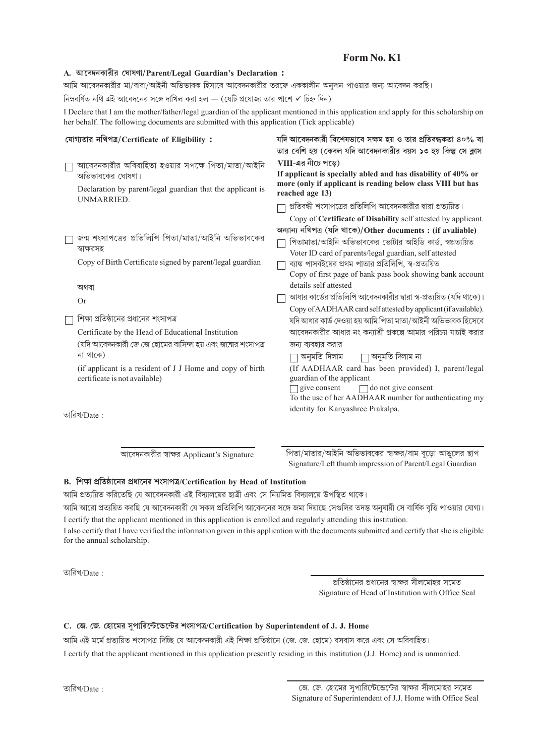# Form No. K1

## A. আবেদনকারীর ঘোষণা/Parent/Legal Guardian's Declaration:

আমি আবেদনকারীর মা/বাবা/আইনী অভিভাবক হিসাবে আবেদনকারীর তরফে এককালীন অনুদান পাওয়ার জন্য আবেদন করছি।

নিম্নবর্ণিত নথি এই আবেদনের সঙ্গে দাখিল করা হল — (যেটি প্রযোজ্য তার পাশে  $\checkmark$  চিহ্ন দিন)

I Declare that I am the mother/father/legal guardian of the applicant mentioned in this application and apply for this scholarship on her behalf. The following documents are submitted with this application (Tick applicable)

| যোগ্যতার নথিপত্র/Certificate of Eligibility:                | যদি আবেদনকারী বিশেষভাবে সক্ষম হয় ও তার প্রতিবন্ধকতা ৪০% বা         |  |  |  |  |  |  |  |  |  |  |  |
|-------------------------------------------------------------|---------------------------------------------------------------------|--|--|--|--|--|--|--|--|--|--|--|
|                                                             | তার বেশি হয় (কেবল যদি আবেদনকারীর বয়স ১৩ হয় কিন্তু সে ক্লাস       |  |  |  |  |  |  |  |  |  |  |  |
| আবেদনকারীর অবিবাহিতা হওয়ার সপক্ষে পিতা/মাতা/আইনি           | $VIII$ -এর নীচে পড়ে)                                               |  |  |  |  |  |  |  |  |  |  |  |
| অভিভাবকের ঘোষণা।                                            | If applicant is specially abled and has disability of 40% or        |  |  |  |  |  |  |  |  |  |  |  |
|                                                             | more (only if applicant is reading below class VIII but has         |  |  |  |  |  |  |  |  |  |  |  |
| Declaration by parent/legal guardian that the applicant is  | reached age 13)                                                     |  |  |  |  |  |  |  |  |  |  |  |
| UNMARRIED.                                                  | প্রতিবন্ধী শংসাপত্রের প্রতিলিপি আবেদনকারীর দ্বারা প্রত্যয়িত।       |  |  |  |  |  |  |  |  |  |  |  |
|                                                             | Copy of Certificate of Disability self attested by applicant.       |  |  |  |  |  |  |  |  |  |  |  |
|                                                             | অন্যান্য নথিপত্ৰ (যদি থাকে)/Other documents: (if avaliable)         |  |  |  |  |  |  |  |  |  |  |  |
| জন্ম শংসাপত্রের প্রতিলিপি পিতা/মাতা/আইনি অভিভাবকের          | পিতামাতা/আইনি অভিভাবকের ভোটার আইডি কার্ড, স্বপ্রত্যয়িত             |  |  |  |  |  |  |  |  |  |  |  |
| স্বাক্ষরসহ                                                  | Voter ID card of parents/legal guardian, self attested              |  |  |  |  |  |  |  |  |  |  |  |
| Copy of Birth Certificate signed by parent/legal guardian   | ব্যাঙ্ক পাসবইয়ের প্রথম পাতার প্রতিলিপি, স্ব-প্রত্যয়িত             |  |  |  |  |  |  |  |  |  |  |  |
|                                                             | Copy of first page of bank pass book showing bank account           |  |  |  |  |  |  |  |  |  |  |  |
| অথবা                                                        | details self attested                                               |  |  |  |  |  |  |  |  |  |  |  |
| Or                                                          | আধার কার্ডের প্রতিলিপি আবেদনকারীর দ্বারা স্ব-প্রত্যয়িত (যদি থাকে)। |  |  |  |  |  |  |  |  |  |  |  |
|                                                             | Copy of AADHAAR card self attested by applicant (if available).     |  |  |  |  |  |  |  |  |  |  |  |
| শিক্ষা প্রতিষ্ঠানের প্রধানের শংসাপত্র                       | যদি আধার কার্ড দেওয়া হয় আমি পিতা মাতা/আইনী অভিভাবক হিসেবে         |  |  |  |  |  |  |  |  |  |  |  |
| Certificate by the Head of Educational Institution          | আবেদনকারীর আধার নং কন্যাশ্রী প্রকল্পে আমার পরিচয় যাচাই করার        |  |  |  |  |  |  |  |  |  |  |  |
| (যদি আবেদনকারী জে জে হোমের বাসিন্দা হয় এবং জন্মের শংসাপত্র | জন্য ব্যবহার করার                                                   |  |  |  |  |  |  |  |  |  |  |  |
| না থাকে)                                                    | অনুমতি দিলাম ∣া অনুমতি দিলাম না                                     |  |  |  |  |  |  |  |  |  |  |  |
| (if applicant is a resident of J J Home and copy of birth   | (If AADHAAR card has been provided) I, parent/legal                 |  |  |  |  |  |  |  |  |  |  |  |
| certificate is not available)                               | guardian of the applicant                                           |  |  |  |  |  |  |  |  |  |  |  |
|                                                             | $\Box$ do not give consent<br>give consent                          |  |  |  |  |  |  |  |  |  |  |  |
|                                                             | To the use of her AADHAAR number for authenticating my              |  |  |  |  |  |  |  |  |  |  |  |
| তারিখ/Date :                                                | identity for Kanyashree Prakalpa.                                   |  |  |  |  |  |  |  |  |  |  |  |
|                                                             |                                                                     |  |  |  |  |  |  |  |  |  |  |  |
|                                                             |                                                                     |  |  |  |  |  |  |  |  |  |  |  |

আবেদনকারীর স্বাক্ষর Applicant's Signature

পিতা/মাতার/আইনি অভিভাবকের স্বাক্ষর/বাম বুড়ো আঙ্বলের ছাপ Signature/Left thumb impression of Parent/Legal Guardian

## B. শিক্ষা প্ৰতিষ্ঠানের প্ৰধানের শংসাপত্র/Certification by Head of Institution

আমি প্রত্যয়িত করিতেছি যে আবেদনকারী এই বিদ্যালয়ের ছাত্রী এবং সে নিয়মিত বিদ্যালয়ে উপস্থিত থাকে।

আমি আরো প্রত্যয়িত করছি যে আবেদনকারী যে সকল প্রতিলিপি আবেদনের সঙ্গে জমা দিয়াছে সেগুলির তদন্ত অনযায়ী সে বার্ষিক বৃত্তি পাওয়ার যোগ্য। I certify that the applicant mentioned in this application is enrolled and regularly attending this institution.

I also certify that I have verified the information given in this application with the documents submitted and certify that she is eligible for the annual scholarship.

তারিখ/Date:

প্রতিষ্ঠানের প্রধানের স্বাক্ষর সীলমোহর সমেত Signature of Head of Institution with Office Seal

# C. জে. জে. হোমের সৃপারিন্টেন্ডেন্টের শংসাপত্র/Certification by Superintendent of J. J. Home

আমি এই মৰ্মে প্ৰত্যয়িত শংসাপত্ৰ দিচ্ছি যে আবেদনকারী এই শিক্ষা প্ৰতিষ্ঠানে (জে. জে. হোমে) বসবাস করে এবং সে অবিবাহিত।

I certify that the applicant mentioned in this application presently residing in this institution (J.J. Home) and is unmarried.

তারিখ/Date: